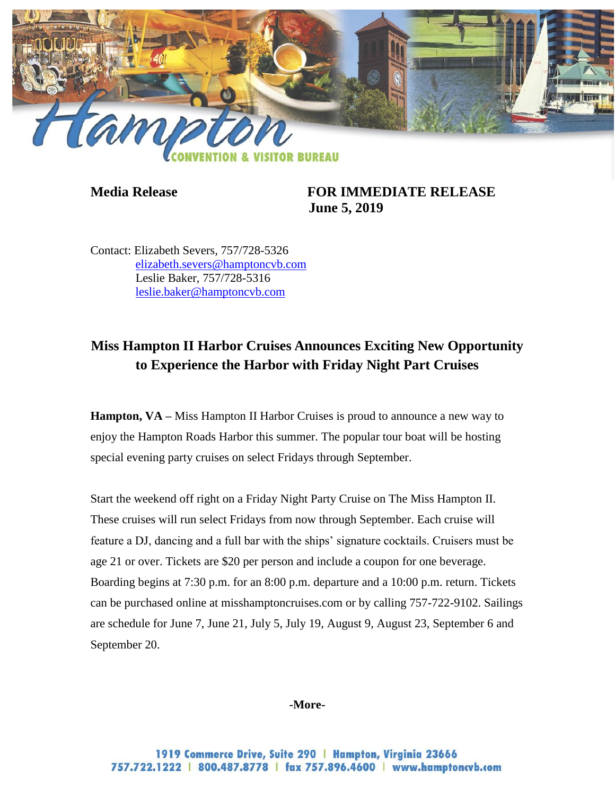

**Media Release FOR IMMEDIATE RELEASE June 5, 2019**

Contact: Elizabeth Severs, 757/728-5326 [elizabeth.severs@hamptoncvb.com](mailto:elizabeth.severs@hamptoncvb.com) Leslie Baker, 757/728-5316 [leslie.baker@hamptoncvb.com](mailto:leslie.baker@hamptoncvb.com)

## **Miss Hampton II Harbor Cruises Announces Exciting New Opportunity to Experience the Harbor with Friday Night Part Cruises**

**Hampton, VA –** Miss Hampton II Harbor Cruises is proud to announce a new way to enjoy the Hampton Roads Harbor this summer. The popular tour boat will be hosting special evening party cruises on select Fridays through September.

Start the weekend off right on a Friday Night Party Cruise on The Miss Hampton II. These cruises will run select Fridays from now through September. Each cruise will feature a DJ, dancing and a full bar with the ships' signature cocktails. Cruisers must be age 21 or over. Tickets are \$20 per person and include a coupon for one beverage. Boarding begins at 7:30 p.m. for an 8:00 p.m. departure and a 10:00 p.m. return. Tickets can be purchased online at misshamptoncruises.com or by calling 757-722-9102. Sailings are schedule for June 7, June 21, July 5, July 19, August 9, August 23, September 6 and September 20.

## **-More-**

1919 Commerce Drive, Suite 290 | Hampton, Virginia 23666 757.722.1222 | 800.487.8778 | fax 757.896.4600 | www.hamptoncvb.com